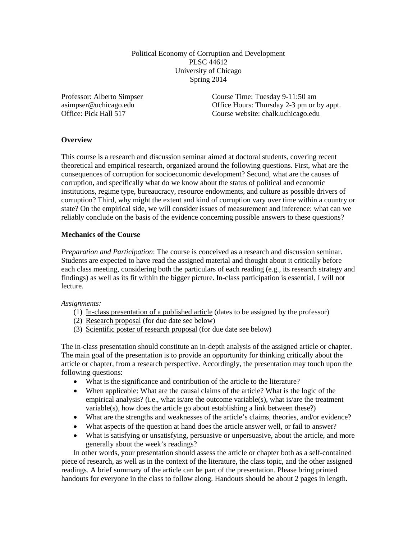Political Economy of Corruption and Development PLSC 44612 University of Chicago Spring 2014

Professor: Alberto Simpser asimpser@uchicago.edu Office: Pick Hall 517

Course Time: Tuesday 9-11:50 am Office Hours: Thursday 2-3 pm or by appt. Course website: chalk.uchicago.edu

# **Overview**

This course is a research and discussion seminar aimed at doctoral students, covering recent theoretical and empirical research, organized around the following questions. First, what are the consequences of corruption for socioeconomic development? Second, what are the causes of corruption, and specifically what do we know about the status of political and economic institutions, regime type, bureaucracy, resource endowments, and culture as possible drivers of corruption? Third, why might the extent and kind of corruption vary over time within a country or state? On the empirical side, we will consider issues of measurement and inference: what can we reliably conclude on the basis of the evidence concerning possible answers to these questions?

## **Mechanics of the Course**

*Preparation and Participation*: The course is conceived as a research and discussion seminar. Students are expected to have read the assigned material and thought about it critically before each class meeting, considering both the particulars of each reading (e.g., its research strategy and findings) as well as its fit within the bigger picture. In-class participation is essential, I will not lecture.

*Assignments:* 

- (1) In-class presentation of a published article (dates to be assigned by the professor)
- (2) Research proposal (for due date see below)
- (3) Scientific poster of research proposal (for due date see below)

The in-class presentation should constitute an in-depth analysis of the assigned article or chapter. The main goal of the presentation is to provide an opportunity for thinking critically about the article or chapter, from a research perspective. Accordingly, the presentation may touch upon the following questions:

- What is the significance and contribution of the article to the literature?
- When applicable: What are the causal claims of the article? What is the logic of the empirical analysis? (i.e., what is/are the outcome variable(s), what is/are the treatment variable(s), how does the article go about establishing a link between these?)
- What are the strengths and weaknesses of the article's claims, theories, and/or evidence?
- What aspects of the question at hand does the article answer well, or fail to answer?
- What is satisfying or unsatisfying, persuasive or unpersuasive, about the article, and more generally about the week's readings?

In other words, your presentation should assess the article or chapter both as a self-contained piece of research, as well as in the context of the literature, the class topic, and the other assigned readings. A brief summary of the article can be part of the presentation. Please bring printed handouts for everyone in the class to follow along. Handouts should be about 2 pages in length.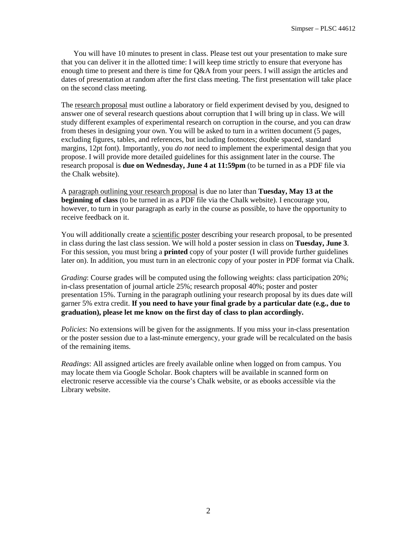You will have 10 minutes to present in class. Please test out your presentation to make sure that you can deliver it in the allotted time: I will keep time strictly to ensure that everyone has enough time to present and there is time for Q&A from your peers. I will assign the articles and dates of presentation at random after the first class meeting. The first presentation will take place on the second class meeting.

The research proposal must outline a laboratory or field experiment devised by you, designed to answer one of several research questions about corruption that I will bring up in class. We will study different examples of experimental research on corruption in the course, and you can draw from theses in designing your own. You will be asked to turn in a written document (5 pages, excluding figures, tables, and references, but including footnotes; double spaced, standard margins, 12pt font). Importantly, you *do not* need to implement the experimental design that you propose. I will provide more detailed guidelines for this assignment later in the course. The research proposal is **due on Wednesday, June 4 at 11:59pm** (to be turned in as a PDF file via the Chalk website).

A paragraph outlining your research proposal is due no later than **Tuesday, May 13 at the beginning of class** (to be turned in as a PDF file via the Chalk website). I encourage you, however, to turn in your paragraph as early in the course as possible, to have the opportunity to receive feedback on it.

You will additionally create a scientific poster describing your research proposal, to be presented in class during the last class session. We will hold a poster session in class on **Tuesday, June 3**. For this session, you must bring a **printed** copy of your poster (I will provide further guidelines later on). In addition, you must turn in an electronic copy of your poster in PDF format via Chalk.

*Grading*: Course grades will be computed using the following weights: class participation 20%; in-class presentation of journal article 25%; research proposal 40%; poster and poster presentation 15%. Turning in the paragraph outlining your research proposal by its dues date will garner 5% extra credit. **If you need to have your final grade by a particular date (e.g., due to graduation), please let me know on the first day of class to plan accordingly.**

*Policies*: No extensions will be given for the assignments. If you miss your in-class presentation or the poster session due to a last-minute emergency, your grade will be recalculated on the basis of the remaining items.

*Readings*: All assigned articles are freely available online when logged on from campus. You may locate them via Google Scholar. Book chapters will be available in scanned form on electronic reserve accessible via the course's Chalk website, or as ebooks accessible via the Library website.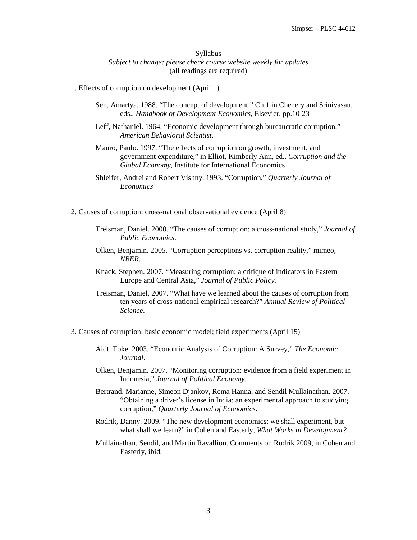## Syllabus *Subject to change: please check course website weekly for updates* (all readings are required)

#### 1. Effects of corruption on development (April 1)

- Sen, Amartya. 1988. "The concept of development," Ch.1 in Chenery and Srinivasan, eds., *Handbook of Development Economics*, Elsevier, pp.10-23
- Leff, Nathaniel. 1964. "Economic development through bureaucratic corruption," *American Behavioral Scientist*.
- Mauro, Paulo. 1997. "The effects of corruption on growth, investment, and government expenditure," in Elliot, Kimberly Ann, ed., *Corruption and the Global Economy*, Institute for International Economics
- Shleifer, Andrei and Robert Vishny. 1993. "Corruption," *Quarterly Journal of Economics*
- 2. Causes of corruption: cross-national observational evidence (April 8)
	- Treisman, Daniel. 2000. "The causes of corruption: a cross-national study," *Journal of Public Economics*.
	- Olken, Benjamin. 2005. "Corruption perceptions vs. corruption reality," mimeo, *NBER*.
	- Knack, Stephen. 2007. "Measuring corruption: a critique of indicators in Eastern Europe and Central Asia," *Journal of Public Policy.*
	- Treisman, Daniel. 2007. "What have we learned about the causes of corruption from ten years of cross-national empirical research?" *Annual Review of Political Science*.
- 3. Causes of corruption: basic economic model; field experiments (April 15)
	- Aidt, Toke. 2003. "Economic Analysis of Corruption: A Survey," *The Economic Journal*.
	- Olken, Benjamin. 2007. "Monitoring corruption: evidence from a field experiment in Indonesia," *Journal of Political Economy*.
	- Bertrand, Marianne, Simeon Djankov, Rema Hanna, and Sendil Mullainathan. 2007. "Obtaining a driver's license in India: an experimental approach to studying corruption," *Quarterly Journal of Economics*.
	- Rodrik, Danny. 2009. "The new development economics: we shall experiment, but what shall we learn?" in Cohen and Easterly, *What Works in Development?*
	- Mullainathan, Sendil, and Martin Ravallion. Comments on Rodrik 2009, in Cohen and Easterly, ibid.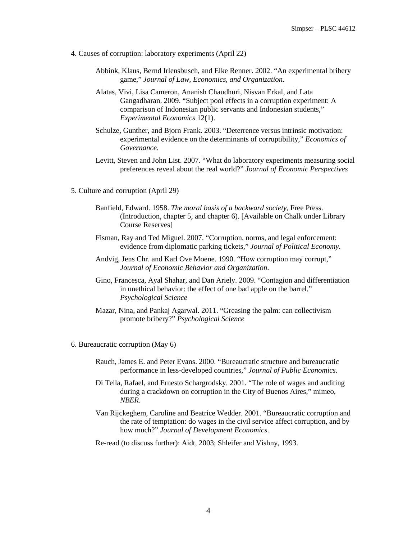- 4. Causes of corruption: laboratory experiments (April 22)
	- Abbink, Klaus, Bernd Irlensbusch, and Elke Renner. 2002. "An experimental bribery game," *Journal of Law, Economics, and Organization*.
	- Alatas, Vivi, Lisa Cameron, Ananish Chaudhuri, Nisvan Erkal, and Lata Gangadharan. 2009. "Subject pool effects in a corruption experiment: A comparison of Indonesian public servants and Indonesian students," *Experimental Economics* 12(1).
	- Schulze, Gunther, and Bjorn Frank. 2003. "Deterrence versus intrinsic motivation: experimental evidence on the determinants of corruptibility," *Economics of Governance*.
	- Levitt, Steven and John List. 2007. "What do laboratory experiments measuring social preferences reveal about the real world?" *Journal of Economic Perspectives*
- 5. Culture and corruption (April 29)
	- Banfield, Edward. 1958. *The moral basis of a backward society*, Free Press. (Introduction, chapter 5, and chapter 6). [Available on Chalk under Library Course Reserves]
	- Fisman, Ray and Ted Miguel. 2007. "Corruption, norms, and legal enforcement: evidence from diplomatic parking tickets," *Journal of Political Economy*.
	- Andvig, Jens Chr. and Karl Ove Moene. 1990. "How corruption may corrupt," *Journal of Economic Behavior and Organization*.
	- Gino, Francesca, Ayal Shahar, and Dan Ariely. 2009. "Contagion and differentiation in unethical behavior: the effect of one bad apple on the barrel," *Psychological Science*
	- Mazar, Nina, and Pankaj Agarwal. 2011. "Greasing the palm: can collectivism promote bribery?" *Psychological Science*
- 6. Bureaucratic corruption (May 6)
	- Rauch, James E. and Peter Evans. 2000. "Bureaucratic structure and bureaucratic performance in less-developed countries," *Journal of Public Economics*.
	- Di Tella, Rafael, and Ernesto Schargrodsky. 2001. "The role of wages and auditing during a crackdown on corruption in the City of Buenos Aires," mimeo, *NBER*.
	- Van Rijckeghem, Caroline and Beatrice Wedder. 2001. "Bureaucratic corruption and the rate of temptation: do wages in the civil service affect corruption, and by how much?" *Journal of Development Economics*.
	- Re-read (to discuss further): Aidt, 2003; Shleifer and Vishny, 1993.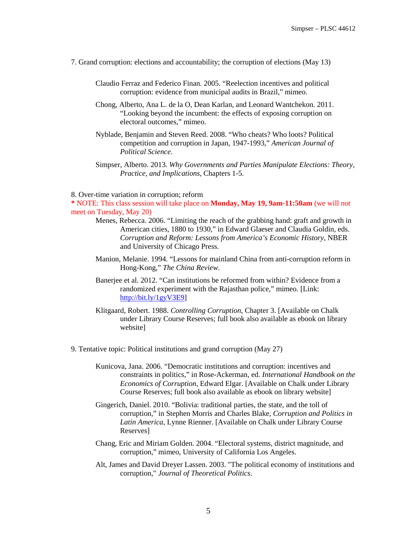- 7. Grand corruption: elections and accountability; the corruption of elections (May 13)
	- Claudio Ferraz and Federico Finan. 2005. "Reelection incentives and political corruption: evidence from municipal audits in Brazil," mimeo.
	- Chong, Alberto, Ana L. de la O, Dean Karlan, and Leonard Wantchekon. 2011. "Looking beyond the incumbent: the effects of exposing corruption on electoral outcomes," mimeo.
	- Nyblade, Benjamin and Steven Reed. 2008. "Who cheats? Who loots? Political competition and corruption in Japan, 1947-1993," *American Journal of Political Science*.
	- Simpser, Alberto. 2013. *Why Governments and Parties Manipulate Elections: Theory, Practice, and Implications*, Chapters 1-5.

#### 8. Over-time variation in corruption; reform

**\*** NOTE: This class session will take place on **Monday, May 19, 9am-11:50am** (we will *not* meet on Tuesday, May 20)

- Menes, Rebecca. 2006. "Limiting the reach of the grabbing hand: graft and growth in American cities, 1880 to 1930," in Edward Glaeser and Claudia Goldin, eds. *Corruption and Reform: Lessons from America's Economic History*, NBER and University of Chicago Press.
- Manion, Melanie. 1994. "Lessons for mainland China from anti-corruption reform in Hong-Kong," *The China Review*.
- Banerjee et al. 2012. "Can institutions be reformed from within? Evidence from a randomized experiment with the Rajasthan police," mimeo. [Link: [http://bit.ly/1gyV3E9\]](http://bit.ly/1gyV3E9)
- Klitgaard, Robert. 1988. *Controlling Corruption*, Chapter 3. [Available on Chalk under Library Course Reserves; full book also available as ebook on library website]
- 9. Tentative topic: Political institutions and grand corruption (May 27)
	- Kunicova, Jana. 2006. "Democratic institutions and corruption: incentives and constraints in politics," in Rose-Ackerman, ed. *International Handbook on the Economics of Corruption*, Edward Elgar. [Available on Chalk under Library Course Reserves; full book also available as ebook on library website]
	- Gingerich, Daniel. 2010. "Bolivia: traditional parties, the state, and the toll of corruption," in Stephen Morris and Charles Blake, *Corruption and Politics in Latin America*, Lynne Rienner. [Available on Chalk under Library Course Reserves]
	- Chang, Eric and Miriam Golden. 2004. "Electoral systems, district magnitude, and corruption," mimeo, University of California Los Angeles.
	- Alt, James and David Dreyer Lassen. 2003. "The political economy of institutions and corruption," *Journal of Theoretical Politics*.